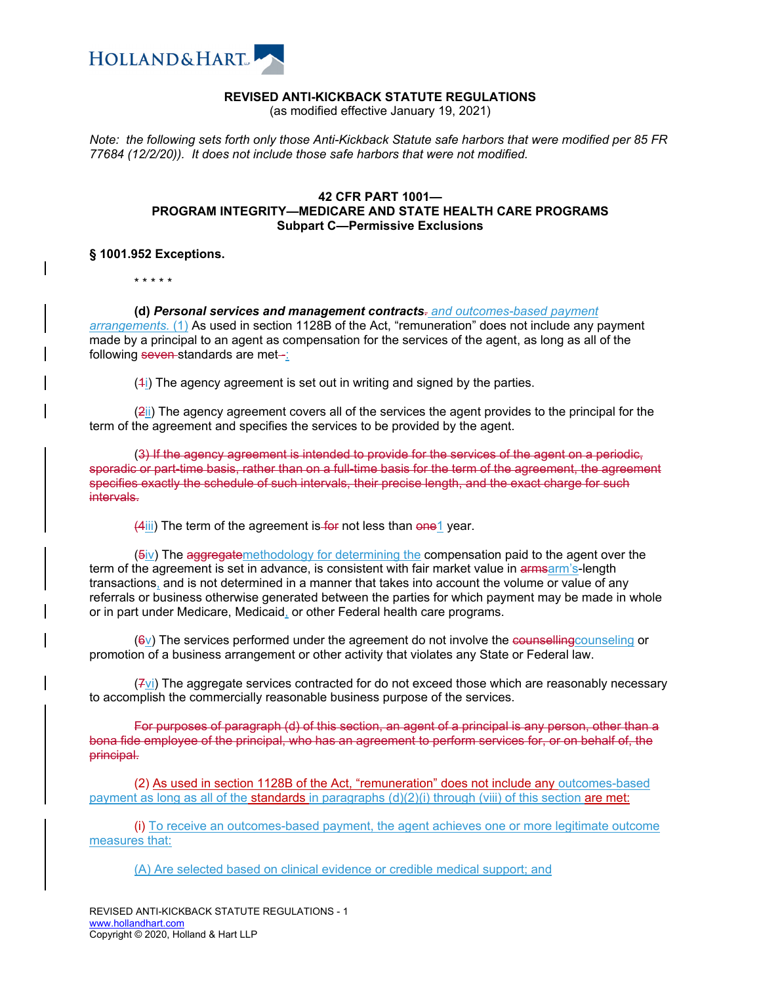

## **REVISED ANTI-KICKBACK STATUTE REGULATIONS**

(as modified effective January 19, 2021)

*Note: the following sets forth only those Anti-Kickback Statute safe harbors that were modified per 85 FR 77684 (12/2/20)). It does not include those safe harbors that were not modified.* 

## **42 CFR PART 1001— PROGRAM INTEGRITY—MEDICARE AND STATE HEALTH CARE PROGRAMS Subpart C—Permissive Exclusions**

## **§ 1001.952 Exceptions.**

\* \* \* \* \*

**(d)** *Personal services and management contracts. and outcomes-based payment* 

*arrangements.* (1) As used in section 1128B of the Act, "remuneration" does not include any payment made by a principal to an agent as compensation for the services of the agent, as long as all of the following seven standards are met-

 $(4)$  The agency agreement is set out in writing and signed by the parties.

(2ii) The agency agreement covers all of the services the agent provides to the principal for the term of the agreement and specifies the services to be provided by the agent.

(3) If the agency agreement is intended to provide for the services of the agent on a periodic, sporadic or part-time basis, rather than on a full-time basis for the term of the agreement, the agreement specifies exactly the schedule of such intervals, their precise length, and the exact charge for such intervals.

(4iii) The term of the agreement is for not less than one 1 year.

(5iv) The aggregatemethodology for determining the compensation paid to the agent over the term of the agreement is set in advance, is consistent with fair market value in armsarm's-length transactions, and is not determined in a manner that takes into account the volume or value of any referrals or business otherwise generated between the parties for which payment may be made in whole or in part under Medicare, Medicaid, or other Federal health care programs.

 $(6v)$  The services performed under the agreement do not involve the counselling counseling or promotion of a business arrangement or other activity that violates any State or Federal law.

 $(Fvi)$  The aggregate services contracted for do not exceed those which are reasonably necessary to accomplish the commercially reasonable business purpose of the services.

For purposes of paragraph (d) of this section, an agent of a principal is any person, other than a bona fide employee of the principal, who has an agreement to perform services for, or on behalf of, the principal.

(2) As used in section 1128B of the Act, "remuneration" does not include any outcomes-based payment as long as all of the **standards** in paragraphs (d)(2)(i) through (viii) of this section are met:

(i) To receive an outcomes-based payment, the agent achieves one or more legitimate outcome measures that:

(A) Are selected based on clinical evidence or credible medical support; and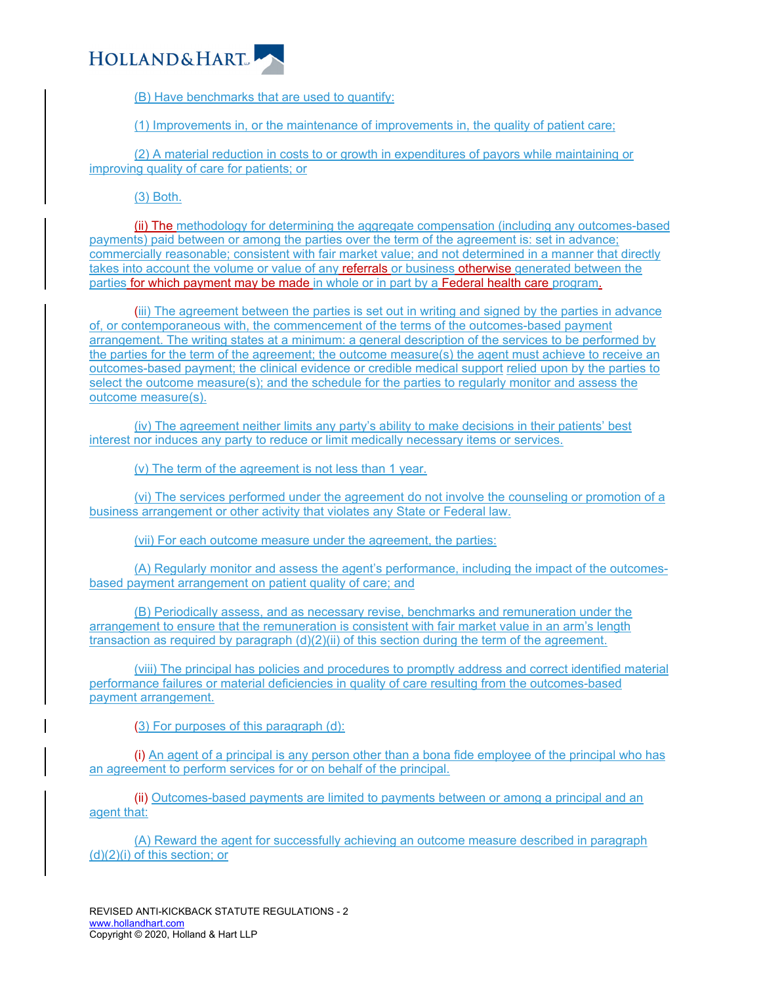

(B) Have benchmarks that are used to quantify:

(1) Improvements in, or the maintenance of improvements in, the quality of patient care;

(2) A material reduction in costs to or growth in expenditures of payors while maintaining or improving quality of care for patients; or

(3) Both.

(ii) The methodology for determining the aggregate compensation (including any outcomes-based payments) paid between or among the parties over the term of the agreement is: set in advance; commercially reasonable; consistent with fair market value; and not determined in a manner that directly takes into account the volume or value of any referrals or business otherwise generated between the parties for which payment may be made in whole or in part by a Federal health care program.

(iii) The agreement between the parties is set out in writing and signed by the parties in advance of, or contemporaneous with, the commencement of the terms of the outcomes-based payment arrangement. The writing states at a minimum: a general description of the services to be performed by the parties for the term of the agreement; the outcome measure(s) the agent must achieve to receive an outcomes-based payment; the clinical evidence or credible medical support relied upon by the parties to select the outcome measure(s); and the schedule for the parties to regularly monitor and assess the outcome measure(s).

(iv) The agreement neither limits any party's ability to make decisions in their patients' best interest nor induces any party to reduce or limit medically necessary items or services.

(v) The term of the agreement is not less than 1 year.

(vi) The services performed under the agreement do not involve the counseling or promotion of a business arrangement or other activity that violates any State or Federal law.

(vii) For each outcome measure under the agreement, the parties:

(A) Regularly monitor and assess the agent's performance, including the impact of the outcomesbased payment arrangement on patient quality of care; and

(B) Periodically assess, and as necessary revise, benchmarks and remuneration under the arrangement to ensure that the remuneration is consistent with fair market value in an arm's length transaction as required by paragraph (d)(2)(ii) of this section during the term of the agreement.

(viii) The principal has policies and procedures to promptly address and correct identified material performance failures or material deficiencies in quality of care resulting from the outcomes-based payment arrangement.

(3) For purposes of this paragraph (d):

(i) An agent of a principal is any person other than a bona fide employee of the principal who has an agreement to perform services for or on behalf of the principal.

(ii) Outcomes-based payments are limited to payments between or among a principal and an agent that:

(A) Reward the agent for successfully achieving an outcome measure described in paragraph (d)(2)(i) of this section; or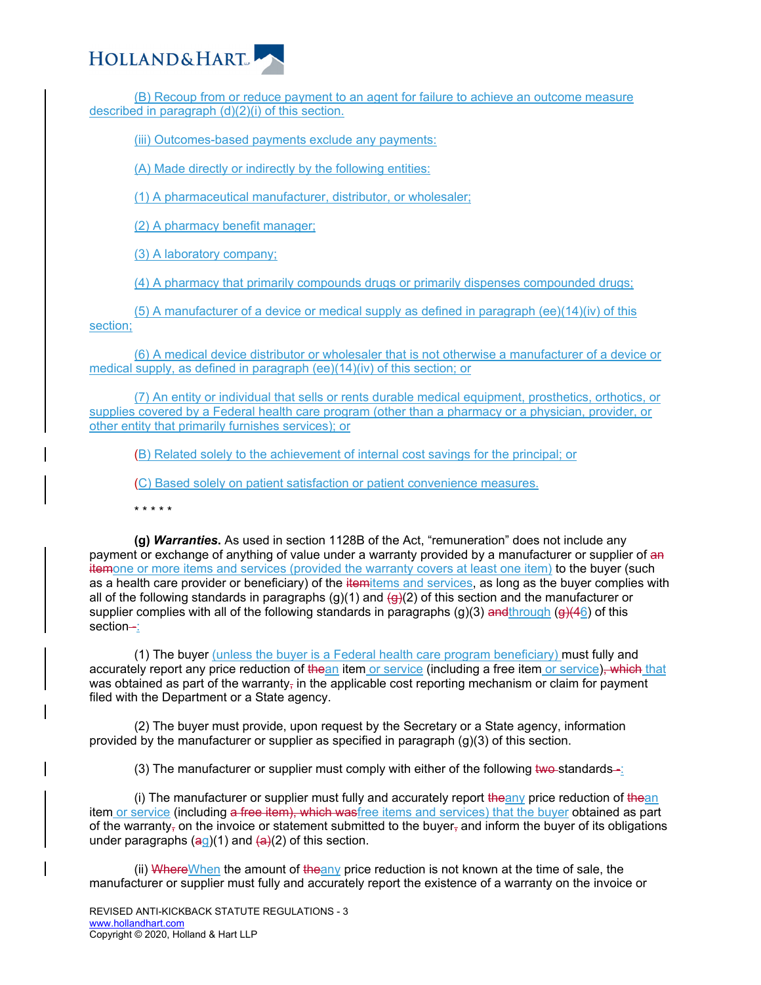

(B) Recoup from or reduce payment to an agent for failure to achieve an outcome measure described in paragraph (d)(2)(i) of this section.

(iii) Outcomes-based payments exclude any payments:

(A) Made directly or indirectly by the following entities:

(1) A pharmaceutical manufacturer, distributor, or wholesaler;

(2) A pharmacy benefit manager;

(3) A laboratory company;

(4) A pharmacy that primarily compounds drugs or primarily dispenses compounded drugs;

(5) A manufacturer of a device or medical supply as defined in paragraph (ee)(14)(iv) of this section;

(6) A medical device distributor or wholesaler that is not otherwise a manufacturer of a device or medical supply, as defined in paragraph (ee)(14)(iv) of this section; or

(7) An entity or individual that sells or rents durable medical equipment, prosthetics, orthotics, or supplies covered by a Federal health care program (other than a pharmacy or a physician, provider, or other entity that primarily furnishes services); or

(B) Related solely to the achievement of internal cost savings for the principal; or

(C) Based solely on patient satisfaction or patient convenience measures.

\* \* \* \* \*

**(g)** *Warranties***.** As used in section 1128B of the Act, "remuneration" does not include any payment or exchange of anything of value under a warranty provided by a manufacturer or supplier of an itemone or more items and services (provided the warranty covers at least one item) to the buyer (such as a health care provider or beneficiary) of the itemitems and services, as long as the buyer complies with all of the following standards in paragraphs (g)(1) and  $\left(\frac{q}{2}\right)$  of this section and the manufacturer or supplier complies with all of the following standards in paragraphs (g)(3) and through (g)(46) of this section-:

(1) The buyer (unless the buyer is a Federal health care program beneficiary) must fully and accurately report any price reduction of thean item or service (including a free item or service), which that was obtained as part of the warranty<sub>r</sub> in the applicable cost reporting mechanism or claim for payment filed with the Department or a State agency.

(2) The buyer must provide, upon request by the Secretary or a State agency, information provided by the manufacturer or supplier as specified in paragraph (g)(3) of this section.

(3) The manufacturer or supplier must comply with either of the following two-standards-:

(i) The manufacturer or supplier must fully and accurately report  $\frac{1}{2}$  the any price reduction of  $\frac{1}{2}$  thean item or service (including a free item), which wasfree items and services) that the buyer obtained as part of the warranty<sub>r</sub> on the invoice or statement submitted to the buyer<sub>r</sub> and inform the buyer of its obligations under paragraphs  $(aq)(1)$  and  $(aq)(2)$  of this section.

(ii) WhereWhen the amount of theany price reduction is not known at the time of sale, the manufacturer or supplier must fully and accurately report the existence of a warranty on the invoice or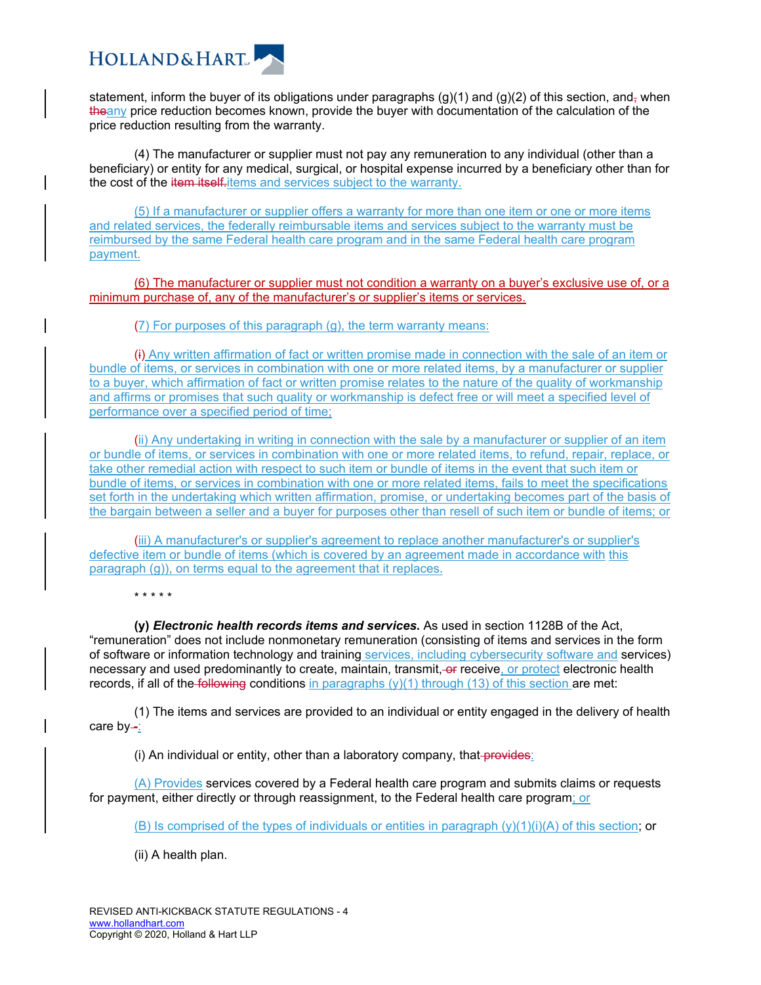

statement, inform the buyer of its obligations under paragraphs  $(g)(1)$  and  $(g)(2)$  of this section, and, when theany price reduction becomes known, provide the buyer with documentation of the calculation of the price reduction resulting from the warranty.

(4) The manufacturer or supplier must not pay any remuneration to any individual (other than a beneficiary) or entity for any medical, surgical, or hospital expense incurred by a beneficiary other than for the cost of the item itself-items and services subject to the warranty.

(5) If a manufacturer or supplier offers a warranty for more than one item or one or more items and related services, the federally reimbursable items and services subject to the warranty must be reimbursed by the same Federal health care program and in the same Federal health care program payment.

(6) The manufacturer or supplier must not condition a warranty on a buyer's exclusive use of, or a minimum purchase of, any of the manufacturer's or supplier's items or services.

(7) For purposes of this paragraph (g), the term warranty means:

(i) Any written affirmation of fact or written promise made in connection with the sale of an item or bundle of items, or services in combination with one or more related items, by a manufacturer or supplier to a buyer, which affirmation of fact or written promise relates to the nature of the quality of workmanship and affirms or promises that such quality or workmanship is defect free or will meet a specified level of performance over a specified period of time;

(ii) Any undertaking in writing in connection with the sale by a manufacturer or supplier of an item or bundle of items, or services in combination with one or more related items, to refund, repair, replace, or take other remedial action with respect to such item or bundle of items in the event that such item or bundle of items, or services in combination with one or more related items, fails to meet the specifications set forth in the undertaking which written affirmation, promise, or undertaking becomes part of the basis of the bargain between a seller and a buyer for purposes other than resell of such item or bundle of items; or

(iii) A manufacturer's or supplier's agreement to replace another manufacturer's or supplier's defective item or bundle of items (which is covered by an agreement made in accordance with this paragraph (g)), on terms equal to the agreement that it replaces.

\* \* \* \* \*

**(y)** *Electronic health records items and services.* As used in section 1128B of the Act, "remuneration" does not include nonmonetary remuneration (consisting of items and services in the form of software or information technology and training services, including cybersecurity software and services) necessary and used predominantly to create, maintain, transmit, or receive, or protect electronic health records, if all of the following conditions in paragraphs  $(y)(1)$  through (13) of this section are met:

(1) The items and services are provided to an individual or entity engaged in the delivery of health care  $by -$ :

(i) An individual or entity, other than a laboratory company, that provides:

(A) Provides services covered by a Federal health care program and submits claims or requests for payment, either directly or through reassignment, to the Federal health care program; or

(B) Is comprised of the types of individuals or entities in paragraph  $(y)(1)(i)(A)$  of this section; or

(ii) A health plan.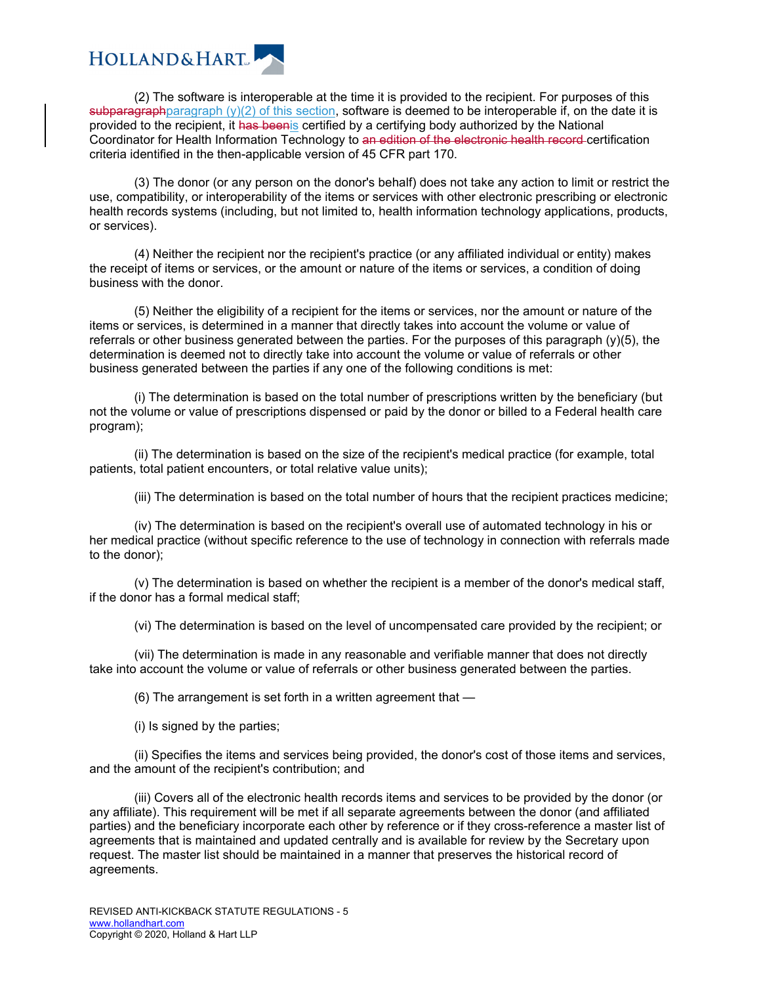

(2) The software is interoperable at the time it is provided to the recipient. For purposes of this subparagraphparagraph (y)(2) of this section, software is deemed to be interoperable if, on the date it is provided to the recipient, it has beenis certified by a certifying body authorized by the National Coordinator for Health Information Technology to an edition of the electronic health record certification criteria identified in the then-applicable version of 45 CFR part 170.

(3) The donor (or any person on the donor's behalf) does not take any action to limit or restrict the use, compatibility, or interoperability of the items or services with other electronic prescribing or electronic health records systems (including, but not limited to, health information technology applications, products, or services).

(4) Neither the recipient nor the recipient's practice (or any affiliated individual or entity) makes the receipt of items or services, or the amount or nature of the items or services, a condition of doing business with the donor.

(5) Neither the eligibility of a recipient for the items or services, nor the amount or nature of the items or services, is determined in a manner that directly takes into account the volume or value of referrals or other business generated between the parties. For the purposes of this paragraph (y)(5), the determination is deemed not to directly take into account the volume or value of referrals or other business generated between the parties if any one of the following conditions is met:

(i) The determination is based on the total number of prescriptions written by the beneficiary (but not the volume or value of prescriptions dispensed or paid by the donor or billed to a Federal health care program);

(ii) The determination is based on the size of the recipient's medical practice (for example, total patients, total patient encounters, or total relative value units);

(iii) The determination is based on the total number of hours that the recipient practices medicine;

(iv) The determination is based on the recipient's overall use of automated technology in his or her medical practice (without specific reference to the use of technology in connection with referrals made to the donor);

(v) The determination is based on whether the recipient is a member of the donor's medical staff, if the donor has a formal medical staff;

(vi) The determination is based on the level of uncompensated care provided by the recipient; or

(vii) The determination is made in any reasonable and verifiable manner that does not directly take into account the volume or value of referrals or other business generated between the parties.

(6) The arrangement is set forth in a written agreement that —

(i) Is signed by the parties;

(ii) Specifies the items and services being provided, the donor's cost of those items and services, and the amount of the recipient's contribution; and

(iii) Covers all of the electronic health records items and services to be provided by the donor (or any affiliate). This requirement will be met if all separate agreements between the donor (and affiliated parties) and the beneficiary incorporate each other by reference or if they cross-reference a master list of agreements that is maintained and updated centrally and is available for review by the Secretary upon request. The master list should be maintained in a manner that preserves the historical record of agreements.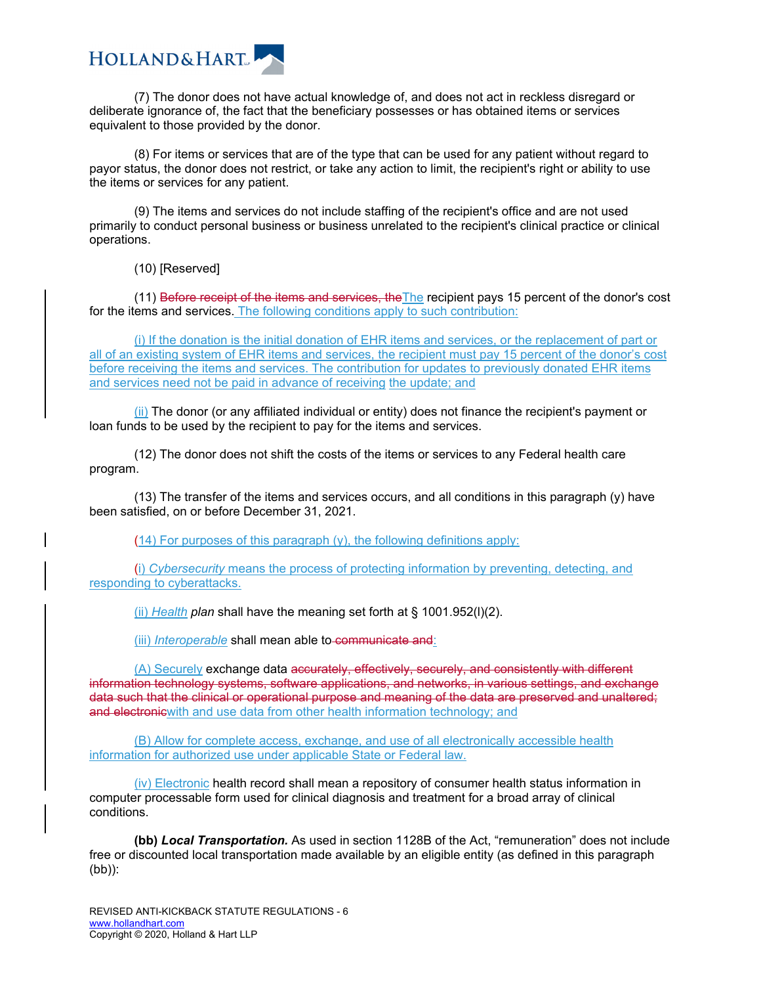

(7) The donor does not have actual knowledge of, and does not act in reckless disregard or deliberate ignorance of, the fact that the beneficiary possesses or has obtained items or services equivalent to those provided by the donor.

(8) For items or services that are of the type that can be used for any patient without regard to payor status, the donor does not restrict, or take any action to limit, the recipient's right or ability to use the items or services for any patient.

(9) The items and services do not include staffing of the recipient's office and are not used primarily to conduct personal business or business unrelated to the recipient's clinical practice or clinical operations.

(10) [Reserved]

(11) Before receipt of the items and services, theThe recipient pays 15 percent of the donor's cost for the items and services. The following conditions apply to such contribution:

(i) If the donation is the initial donation of EHR items and services, or the replacement of part or all of an existing system of EHR items and services, the recipient must pay 15 percent of the donor's cost before receiving the items and services. The contribution for updates to previously donated EHR items and services need not be paid in advance of receiving the update; and

(ii) The donor (or any affiliated individual or entity) does not finance the recipient's payment or loan funds to be used by the recipient to pay for the items and services.

(12) The donor does not shift the costs of the items or services to any Federal health care program.

(13) The transfer of the items and services occurs, and all conditions in this paragraph (y) have been satisfied, on or before December 31, 2021.

(14) For purposes of this paragraph (y), the following definitions apply:

(i) *Cybersecurity* means the process of protecting information by preventing, detecting, and responding to cyberattacks.

(ii) *Health plan* shall have the meaning set forth at § 1001.952(l)(2).

(iii) *Interoperable* shall mean able to-communicate and:

(A) Securely exchange data accurately, effectively, securely, and consistently with different information technology systems, software applications, and networks, in various settings, and exchange data such that the clinical or operational purpose and meaning of the data are preserved and unaltered; and electronic with and use data from other health information technology; and

(B) Allow for complete access, exchange, and use of all electronically accessible health information for authorized use under applicable State or Federal law.

(iv) Electronic health record shall mean a repository of consumer health status information in computer processable form used for clinical diagnosis and treatment for a broad array of clinical conditions.

**(bb)** *Local Transportation.* As used in section 1128B of the Act, "remuneration" does not include free or discounted local transportation made available by an eligible entity (as defined in this paragraph (bb)):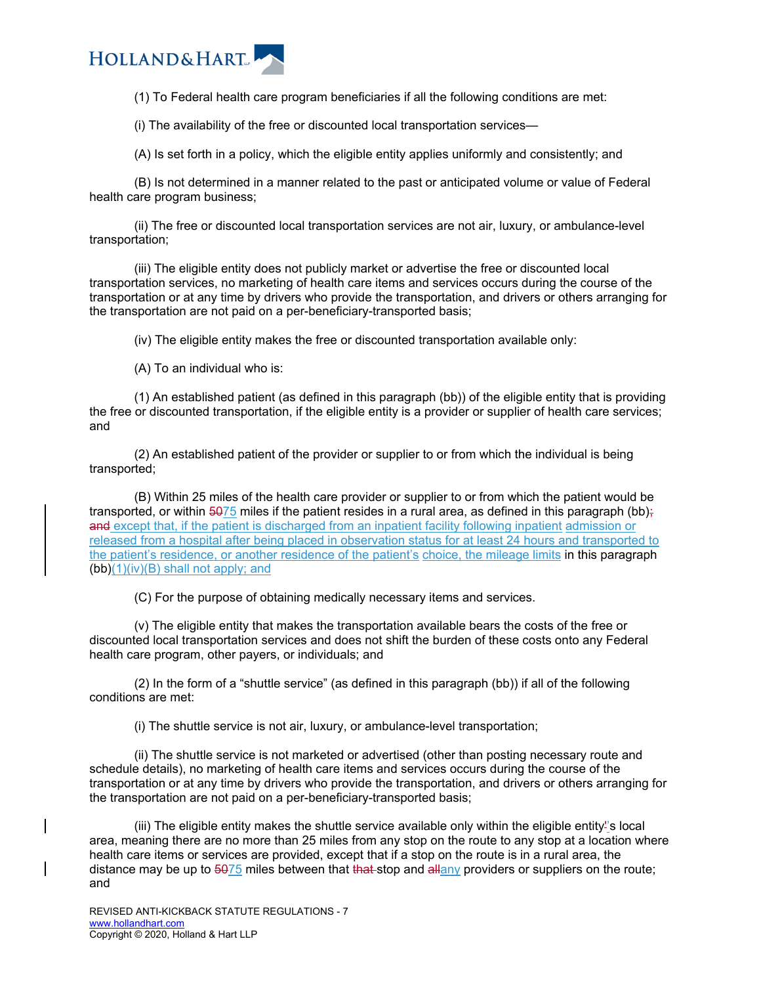

(1) To Federal health care program beneficiaries if all the following conditions are met:

(i) The availability of the free or discounted local transportation services—

(A) Is set forth in a policy, which the eligible entity applies uniformly and consistently; and

(B) Is not determined in a manner related to the past or anticipated volume or value of Federal health care program business;

(ii) The free or discounted local transportation services are not air, luxury, or ambulance-level transportation;

(iii) The eligible entity does not publicly market or advertise the free or discounted local transportation services, no marketing of health care items and services occurs during the course of the transportation or at any time by drivers who provide the transportation, and drivers or others arranging for the transportation are not paid on a per-beneficiary-transported basis;

(iv) The eligible entity makes the free or discounted transportation available only:

(A) To an individual who is:

(1) An established patient (as defined in this paragraph (bb)) of the eligible entity that is providing the free or discounted transportation, if the eligible entity is a provider or supplier of health care services; and

(2) An established patient of the provider or supplier to or from which the individual is being transported;

(B) Within 25 miles of the health care provider or supplier to or from which the patient would be transported, or within  $\frac{5075}{2}$  miles if the patient resides in a rural area, as defined in this paragraph (bb); and except that, if the patient is discharged from an inpatient facility following inpatient admission or released from a hospital after being placed in observation status for at least 24 hours and transported to the patient's residence, or another residence of the patient's choice, the mileage limits in this paragraph  $(bb)(1)(iv)(B)$  shall not apply; and

(C) For the purpose of obtaining medically necessary items and services.

(v) The eligible entity that makes the transportation available bears the costs of the free or discounted local transportation services and does not shift the burden of these costs onto any Federal health care program, other payers, or individuals; and

(2) In the form of a "shuttle service" (as defined in this paragraph (bb)) if all of the following conditions are met:

(i) The shuttle service is not air, luxury, or ambulance-level transportation;

(ii) The shuttle service is not marketed or advertised (other than posting necessary route and schedule details), no marketing of health care items and services occurs during the course of the transportation or at any time by drivers who provide the transportation, and drivers or others arranging for the transportation are not paid on a per-beneficiary-transported basis;

(iii) The eligible entity makes the shuttle service available only within the eligible entity''s local area, meaning there are no more than 25 miles from any stop on the route to any stop at a location where health care items or services are provided, except that if a stop on the route is in a rural area, the distance may be up to 5075 miles between that that stop and allany providers or suppliers on the route; and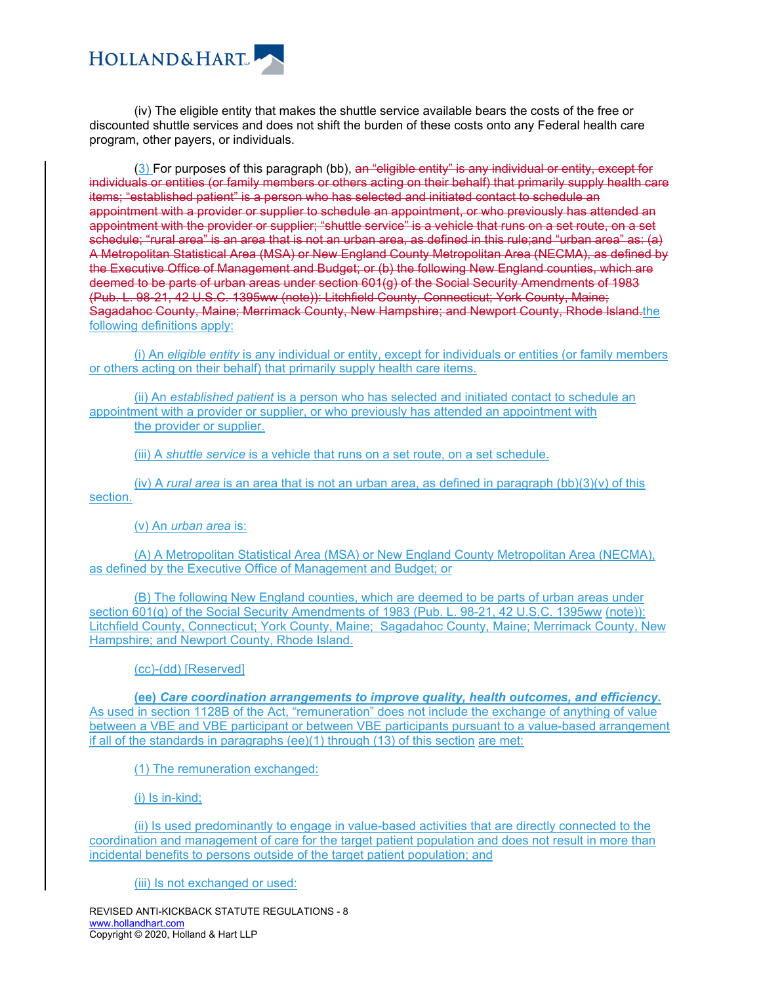

(iv) The eligible entity that makes the shuttle service available bears the costs of the free or discounted shuttle services and does not shift the burden of these costs onto any Federal health care program, other payers, or individuals.

(3) For purposes of this paragraph (bb), an "eligible entity" is any individual or entity, except for individuals or entities (or family members or others acting on their behalf) that primarily supply health care items; "established patient" is a person who has selected and initiated contact to schedule an appointment with a provider or supplier to schedule an appointment, or who previously has attended an appointment with the provider or supplier; "shuttle service" is a vehicle that runs on a set route, on a set schedule; "rural area" is an area that is not an urban area, as defined in this rule;and "urban area" as: (a) A Metropolitan Statistical Area (MSA) or New England County Metropolitan Area (NECMA), as defined by the Executive Office of Management and Budget; or (b) the following New England counties, which are deemed to be parts of urban areas under section 601(g) of the Social Security Amendments of 1983 (Pub. L. 98-21, 42 U.S.C. 1395ww (note)): Litchfield County, Connecticut; York County, Maine; Sagadahoc County, Maine; Merrimack County, New Hampshire; and Newport County, Rhode Island.the following definitions apply:

(i) An *eligible entity* is any individual or entity, except for individuals or entities (or family members or others acting on their behalf) that primarily supply health care items.

(ii) An *established patient* is a person who has selected and initiated contact to schedule an appointment with a provider or supplier, or who previously has attended an appointment with the provider or supplier.

(iii) A *shuttle service* is a vehicle that runs on a set route, on a set schedule.

(iv) A *rural area* is an area that is not an urban area, as defined in paragraph (bb)(3)(v) of this section.

(v) An *urban area* is:

(A) A Metropolitan Statistical Area (MSA) or New England County Metropolitan Area (NECMA), as defined by the Executive Office of Management and Budget; or

(B) The following New England counties, which are deemed to be parts of urban areas under section 601(g) of the Social Security Amendments of 1983 (Pub. L. 98-21, 42 U.S.C. 1395ww (note)): Litchfield County, Connecticut; York County, Maine; Sagadahoc County, Maine; Merrimack County, New Hampshire; and Newport County, Rhode Island.

(cc)-(dd) [Reserved]

**(ee)** *Care coordination arrangements to improve quality, health outcomes, and efficiency***.** As used in section 1128B of the Act, "remuneration" does not include the exchange of anything of value between a VBE and VBE participant or between VBE participants pursuant to a value-based arrangement if all of the standards in paragraphs (ee)(1) through (13) of this section are met:

(1) The remuneration exchanged:

(i) Is in-kind;

(ii) Is used predominantly to engage in value-based activities that are directly connected to the coordination and management of care for the target patient population and does not result in more than incidental benefits to persons outside of the target patient population; and

(iii) Is not exchanged or used:

REVISED ANTI-KICKBACK STATUTE REGULATIONS - 8 www.hollandhart.com Copyright © 2020, Holland & Hart LLP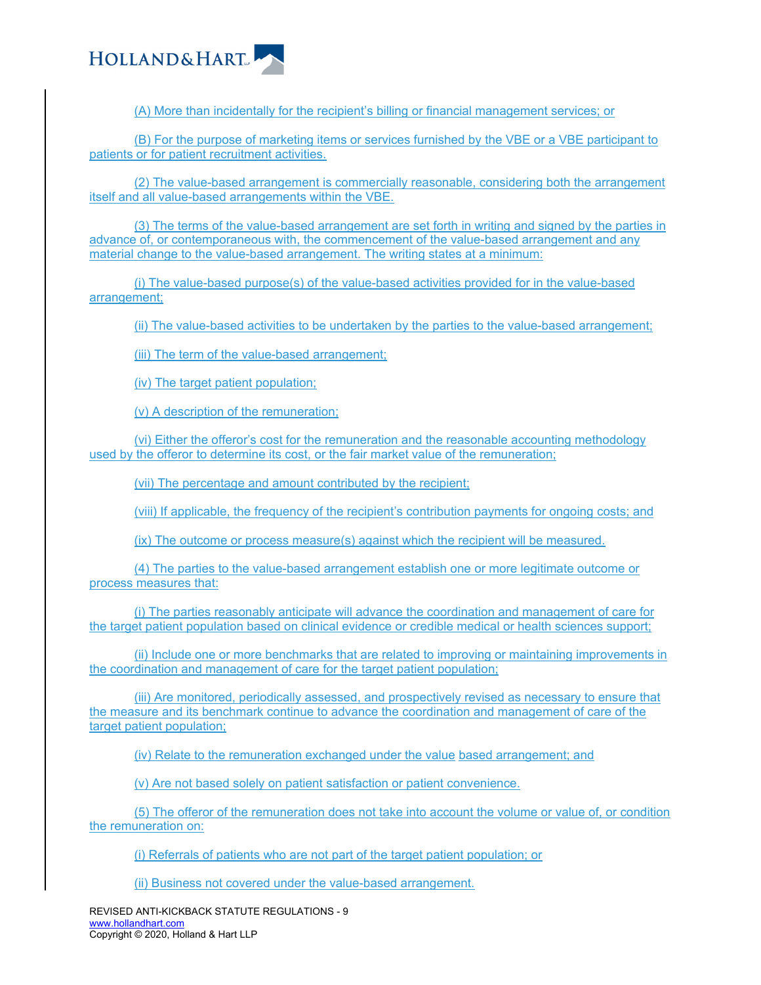

(A) More than incidentally for the recipient's billing or financial management services; or

(B) For the purpose of marketing items or services furnished by the VBE or a VBE participant to patients or for patient recruitment activities.

(2) The value-based arrangement is commercially reasonable, considering both the arrangement itself and all value-based arrangements within the VBE.

(3) The terms of the value-based arrangement are set forth in writing and signed by the parties in advance of, or contemporaneous with, the commencement of the value-based arrangement and any material change to the value-based arrangement. The writing states at a minimum:

(i) The value-based purpose(s) of the value-based activities provided for in the value-based arrangement;

(ii) The value-based activities to be undertaken by the parties to the value-based arrangement;

(iii) The term of the value-based arrangement;

(iv) The target patient population;

(v) A description of the remuneration;

(vi) Either the offeror's cost for the remuneration and the reasonable accounting methodology used by the offeror to determine its cost, or the fair market value of the remuneration;

(vii) The percentage and amount contributed by the recipient;

(viii) If applicable, the frequency of the recipient's contribution payments for ongoing costs; and

(ix) The outcome or process measure(s) against which the recipient will be measured.

(4) The parties to the value-based arrangement establish one or more legitimate outcome or process measures that:

(i) The parties reasonably anticipate will advance the coordination and management of care for the target patient population based on clinical evidence or credible medical or health sciences support;

(ii) Include one or more benchmarks that are related to improving or maintaining improvements in the coordination and management of care for the target patient population;

(iii) Are monitored, periodically assessed, and prospectively revised as necessary to ensure that the measure and its benchmark continue to advance the coordination and management of care of the target patient population;

(iv) Relate to the remuneration exchanged under the value based arrangement; and

(v) Are not based solely on patient satisfaction or patient convenience.

(5) The offeror of the remuneration does not take into account the volume or value of, or condition the remuneration on:

(i) Referrals of patients who are not part of the target patient population; or

(ii) Business not covered under the value-based arrangement.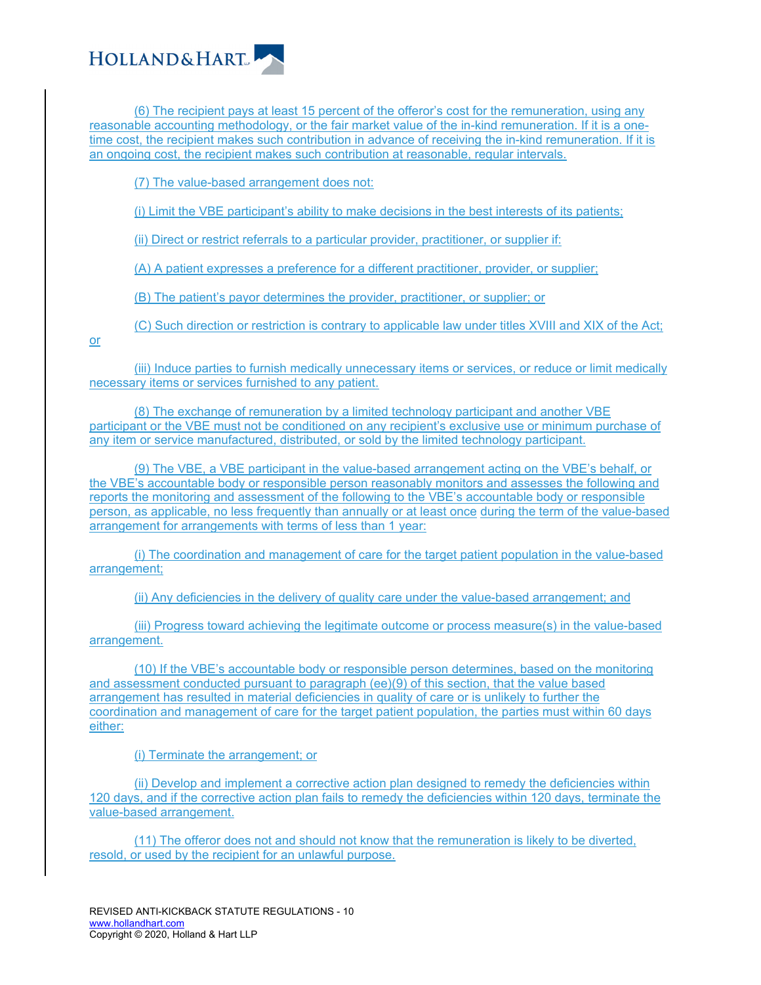

(6) The recipient pays at least 15 percent of the offeror's cost for the remuneration, using any reasonable accounting methodology, or the fair market value of the in-kind remuneration. If it is a onetime cost, the recipient makes such contribution in advance of receiving the in-kind remuneration. If it is an ongoing cost, the recipient makes such contribution at reasonable, regular intervals.

(7) The value-based arrangement does not:

(i) Limit the VBE participant's ability to make decisions in the best interests of its patients;

(ii) Direct or restrict referrals to a particular provider, practitioner, or supplier if:

(A) A patient expresses a preference for a different practitioner, provider, or supplier;

(B) The patient's payor determines the provider, practitioner, or supplier; or

(C) Such direction or restriction is contrary to applicable law under titles XVIII and XIX of the Act;

or

(iii) Induce parties to furnish medically unnecessary items or services, or reduce or limit medically necessary items or services furnished to any patient.

(8) The exchange of remuneration by a limited technology participant and another VBE participant or the VBE must not be conditioned on any recipient's exclusive use or minimum purchase of any item or service manufactured, distributed, or sold by the limited technology participant.

(9) The VBE, a VBE participant in the value-based arrangement acting on the VBE's behalf, or the VBE's accountable body or responsible person reasonably monitors and assesses the following and reports the monitoring and assessment of the following to the VBE's accountable body or responsible person, as applicable, no less frequently than annually or at least once during the term of the value-based arrangement for arrangements with terms of less than 1 year:

(i) The coordination and management of care for the target patient population in the value-based arrangement;

(ii) Any deficiencies in the delivery of quality care under the value-based arrangement; and

(iii) Progress toward achieving the legitimate outcome or process measure(s) in the value-based arrangement.

(10) If the VBE's accountable body or responsible person determines, based on the monitoring and assessment conducted pursuant to paragraph (ee)(9) of this section, that the value based arrangement has resulted in material deficiencies in quality of care or is unlikely to further the coordination and management of care for the target patient population, the parties must within 60 days either:

(i) Terminate the arrangement; or

(ii) Develop and implement a corrective action plan designed to remedy the deficiencies within 120 days, and if the corrective action plan fails to remedy the deficiencies within 120 days, terminate the value-based arrangement.

(11) The offeror does not and should not know that the remuneration is likely to be diverted, resold, or used by the recipient for an unlawful purpose.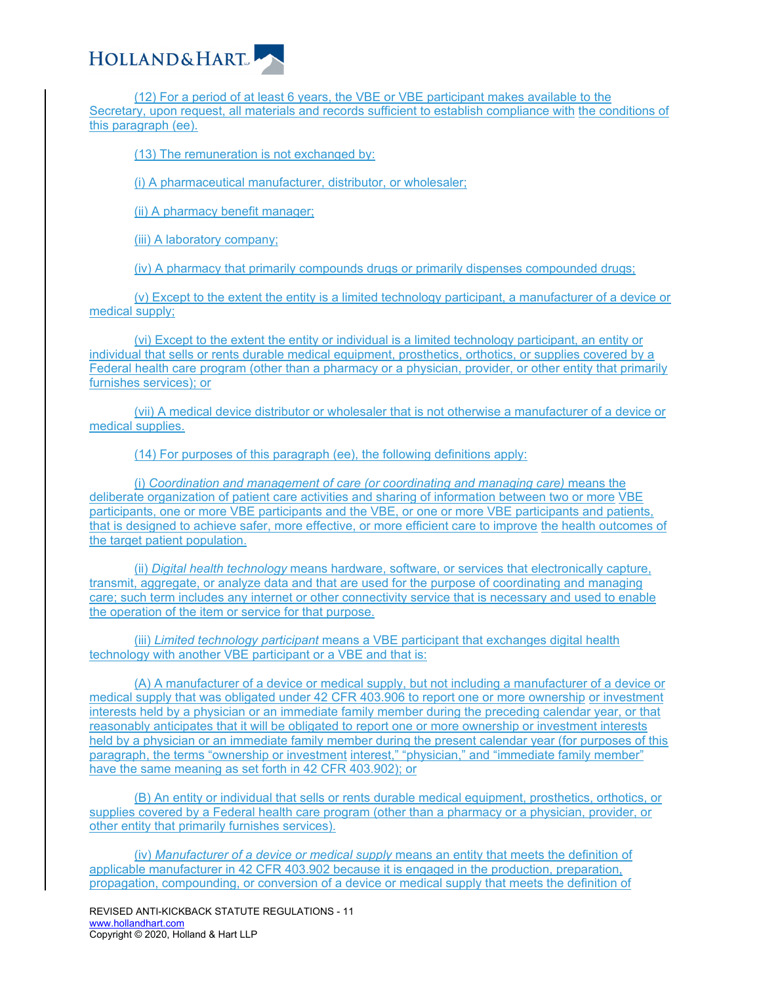

(12) For a period of at least 6 years, the VBE or VBE participant makes available to the Secretary, upon request, all materials and records sufficient to establish compliance with the conditions of this paragraph (ee).

(13) The remuneration is not exchanged by:

(i) A pharmaceutical manufacturer, distributor, or wholesaler;

(ii) A pharmacy benefit manager;

(iii) A laboratory company;

(iv) A pharmacy that primarily compounds drugs or primarily dispenses compounded drugs;

(v) Except to the extent the entity is a limited technology participant, a manufacturer of a device or medical supply;

(vi) Except to the extent the entity or individual is a limited technology participant, an entity or individual that sells or rents durable medical equipment, prosthetics, orthotics, or supplies covered by a Federal health care program (other than a pharmacy or a physician, provider, or other entity that primarily furnishes services); or

(vii) A medical device distributor or wholesaler that is not otherwise a manufacturer of a device or medical supplies.

(14) For purposes of this paragraph (ee), the following definitions apply:

(i) *Coordination and management of care (or coordinating and managing care)* means the deliberate organization of patient care activities and sharing of information between two or more VBE participants, one or more VBE participants and the VBE, or one or more VBE participants and patients, that is designed to achieve safer, more effective, or more efficient care to improve the health outcomes of the target patient population.

(ii) *Digital health technology* means hardware, software, or services that electronically capture, transmit, aggregate, or analyze data and that are used for the purpose of coordinating and managing care; such term includes any internet or other connectivity service that is necessary and used to enable the operation of the item or service for that purpose.

(iii) *Limited technology participant* means a VBE participant that exchanges digital health technology with another VBE participant or a VBE and that is:

(A) A manufacturer of a device or medical supply, but not including a manufacturer of a device or medical supply that was obligated under 42 CFR 403.906 to report one or more ownership or investment interests held by a physician or an immediate family member during the preceding calendar year, or that reasonably anticipates that it will be obligated to report one or more ownership or investment interests held by a physician or an immediate family member during the present calendar year (for purposes of this paragraph, the terms "ownership or investment interest," "physician," and "immediate family member" have the same meaning as set forth in 42 CFR 403.902); or

(B) An entity or individual that sells or rents durable medical equipment, prosthetics, orthotics, or supplies covered by a Federal health care program (other than a pharmacy or a physician, provider, or other entity that primarily furnishes services).

(iv) *Manufacturer of a device or medical supply* means an entity that meets the definition of applicable manufacturer in 42 CFR 403.902 because it is engaged in the production, preparation, propagation, compounding, or conversion of a device or medical supply that meets the definition of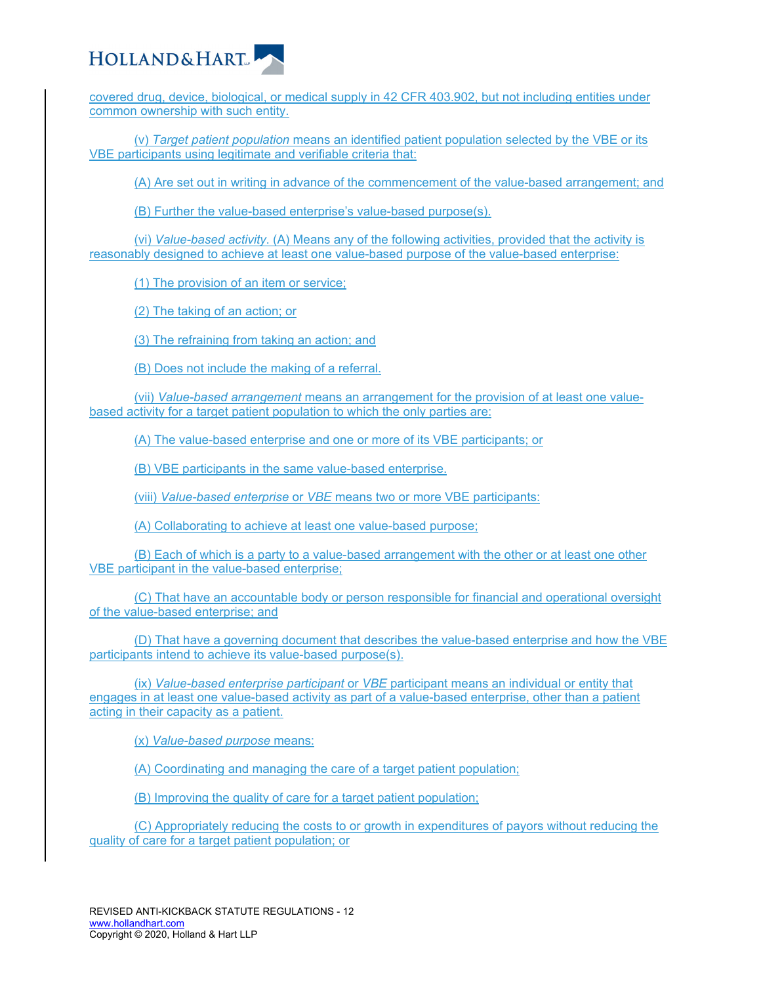

covered drug, device, biological, or medical supply in 42 CFR 403.902, but not including entities under common ownership with such entity.

(v) *Target patient population* means an identified patient population selected by the VBE or its VBE participants using legitimate and verifiable criteria that:

(A) Are set out in writing in advance of the commencement of the value-based arrangement; and

(B) Further the value-based enterprise's value-based purpose(s).

(vi) *Value-based activity*. (A) Means any of the following activities, provided that the activity is reasonably designed to achieve at least one value-based purpose of the value-based enterprise:

(1) The provision of an item or service;

(2) The taking of an action; or

(3) The refraining from taking an action; and

(B) Does not include the making of a referral.

(vii) *Value-based arrangement* means an arrangement for the provision of at least one valuebased activity for a target patient population to which the only parties are:

(A) The value-based enterprise and one or more of its VBE participants; or

(B) VBE participants in the same value-based enterprise.

(viii) *Value-based enterprise* or *VBE* means two or more VBE participants:

(A) Collaborating to achieve at least one value-based purpose;

(B) Each of which is a party to a value-based arrangement with the other or at least one other VBE participant in the value-based enterprise;

(C) That have an accountable body or person responsible for financial and operational oversight of the value-based enterprise; and

(D) That have a governing document that describes the value-based enterprise and how the VBE participants intend to achieve its value-based purpose(s).

(ix) *Value-based enterprise participant* or *VBE* participant means an individual or entity that engages in at least one value-based activity as part of a value-based enterprise, other than a patient acting in their capacity as a patient.

(x) *Value-based purpose* means:

(A) Coordinating and managing the care of a target patient population;

(B) Improving the quality of care for a target patient population;

(C) Appropriately reducing the costs to or growth in expenditures of payors without reducing the quality of care for a target patient population; or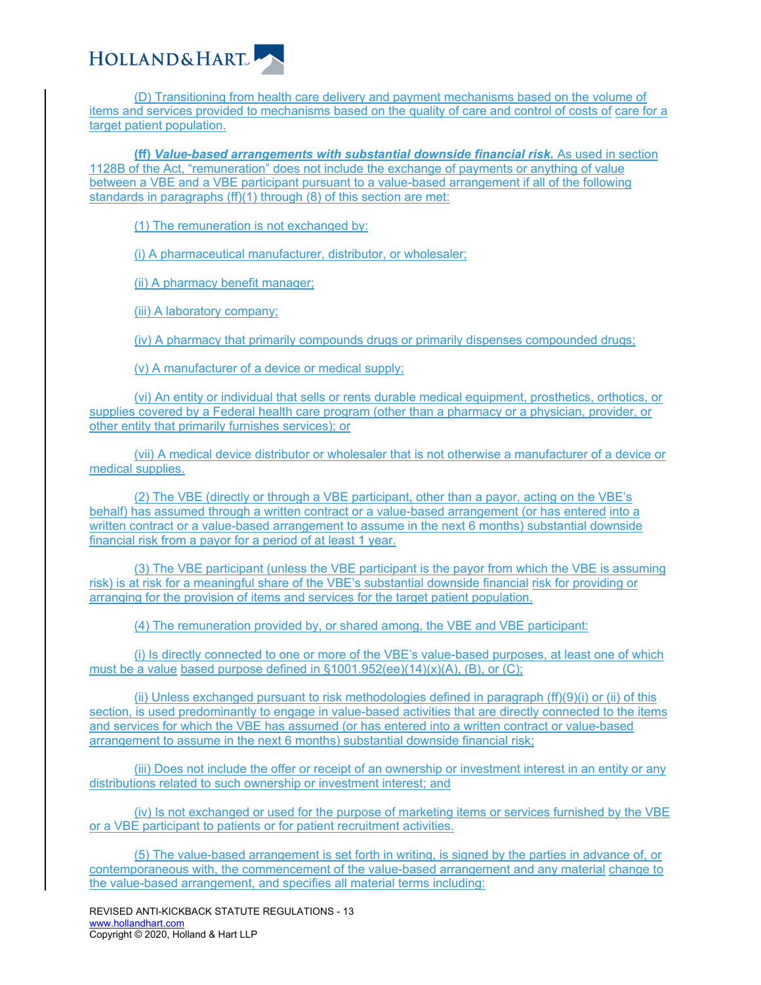

(D) Transitioning from health care delivery and payment mechanisms based on the volume of items and services provided to mechanisms based on the quality of care and control of costs of care for a target patient population.

**(ff)** *Value-based arrangements with substantial downside financial risk.* As used in section 1128B of the Act, "remuneration" does not include the exchange of payments or anything of value between a VBE and a VBE participant pursuant to a value-based arrangement if all of the following standards in paragraphs (ff)(1) through (8) of this section are met:

(1) The remuneration is not exchanged by:

(i) A pharmaceutical manufacturer, distributor, or wholesaler;

(ii) A pharmacy benefit manager;

(iii) A laboratory company;

(iv) A pharmacy that primarily compounds drugs or primarily dispenses compounded drugs;

(v) A manufacturer of a device or medical supply;

(vi) An entity or individual that sells or rents durable medical equipment, prosthetics, orthotics, or supplies covered by a Federal health care program (other than a pharmacy or a physician, provider, or other entity that primarily furnishes services); or

(vii) A medical device distributor or wholesaler that is not otherwise a manufacturer of a device or medical supplies.

(2) The VBE (directly or through a VBE participant, other than a payor, acting on the VBE's behalf) has assumed through a written contract or a value-based arrangement (or has entered into a written contract or a value-based arrangement to assume in the next 6 months) substantial downside financial risk from a payor for a period of at least 1 year.

(3) The VBE participant (unless the VBE participant is the payor from which the VBE is assuming risk) is at risk for a meaningful share of the VBE's substantial downside financial risk for providing or arranging for the provision of items and services for the target patient population.

(4) The remuneration provided by, or shared among, the VBE and VBE participant:

(i) Is directly connected to one or more of the VBE's value-based purposes, at least one of which must be a value based purpose defined in  $$1001.952(ee)(14)(x)(A)$ , (B), or (C);

(ii) Unless exchanged pursuant to risk methodologies defined in paragraph (ff)(9)(i) or (ii) of this section, is used predominantly to engage in value-based activities that are directly connected to the items and services for which the VBE has assumed (or has entered into a written contract or value-based arrangement to assume in the next 6 months) substantial downside financial risk;

(iii) Does not include the offer or receipt of an ownership or investment interest in an entity or any distributions related to such ownership or investment interest; and

(iv) Is not exchanged or used for the purpose of marketing items or services furnished by the VBE or a VBE participant to patients or for patient recruitment activities.

(5) The value-based arrangement is set forth in writing, is signed by the parties in advance of, or contemporaneous with, the commencement of the value-based arrangement and any material change to the value-based arrangement, and specifies all material terms including: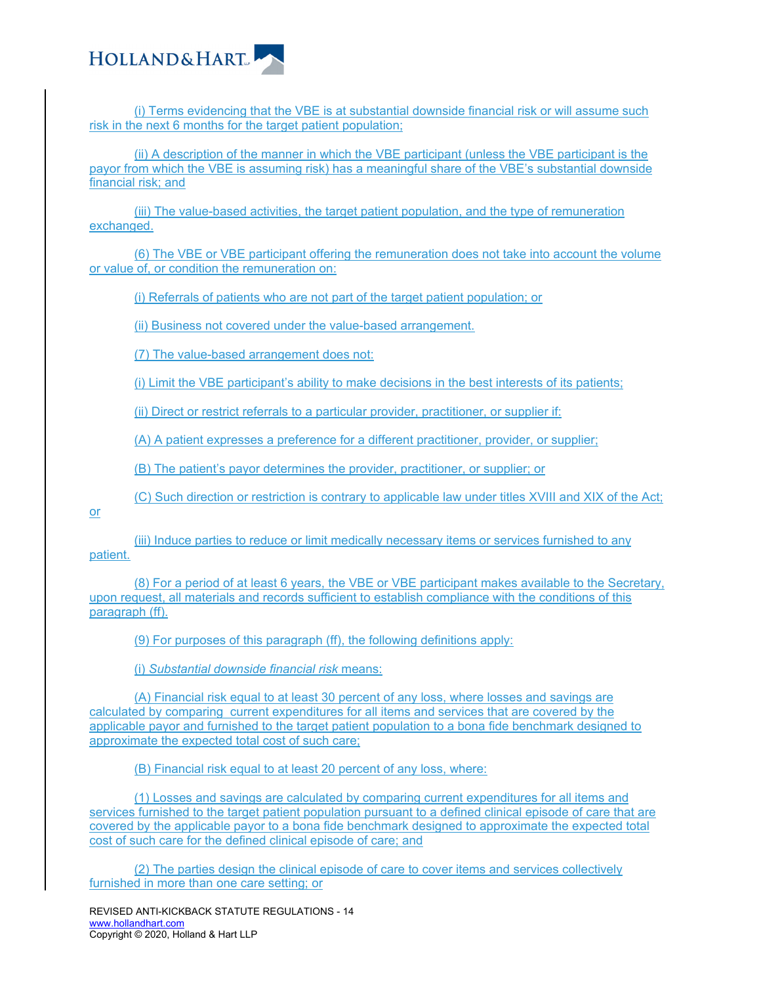

(i) Terms evidencing that the VBE is at substantial downside financial risk or will assume such risk in the next 6 months for the target patient population;

(ii) A description of the manner in which the VBE participant (unless the VBE participant is the payor from which the VBE is assuming risk) has a meaningful share of the VBE's substantial downside financial risk; and

(iii) The value-based activities, the target patient population, and the type of remuneration exchanged.

(6) The VBE or VBE participant offering the remuneration does not take into account the volume or value of, or condition the remuneration on:

(i) Referrals of patients who are not part of the target patient population; or

(ii) Business not covered under the value-based arrangement.

(7) The value-based arrangement does not:

(i) Limit the VBE participant's ability to make decisions in the best interests of its patients;

(ii) Direct or restrict referrals to a particular provider, practitioner, or supplier if:

(A) A patient expresses a preference for a different practitioner, provider, or supplier;

(B) The patient's payor determines the provider, practitioner, or supplier; or

(C) Such direction or restriction is contrary to applicable law under titles XVIII and XIX of the Act;

or

(iii) Induce parties to reduce or limit medically necessary items or services furnished to any patient.

(8) For a period of at least 6 years, the VBE or VBE participant makes available to the Secretary, upon request, all materials and records sufficient to establish compliance with the conditions of this paragraph (ff).

(9) For purposes of this paragraph (ff), the following definitions apply:

(i) *Substantial downside financial risk* means:

(A) Financial risk equal to at least 30 percent of any loss, where losses and savings are calculated by comparing current expenditures for all items and services that are covered by the applicable payor and furnished to the target patient population to a bona fide benchmark designed to approximate the expected total cost of such care;

(B) Financial risk equal to at least 20 percent of any loss, where:

(1) Losses and savings are calculated by comparing current expenditures for all items and services furnished to the target patient population pursuant to a defined clinical episode of care that are covered by the applicable payor to a bona fide benchmark designed to approximate the expected total cost of such care for the defined clinical episode of care; and

(2) The parties design the clinical episode of care to cover items and services collectively furnished in more than one care setting; or

REVISED ANTI-KICKBACK STATUTE REGULATIONS - 14 www.hollandhart.com Copyright © 2020, Holland & Hart LLP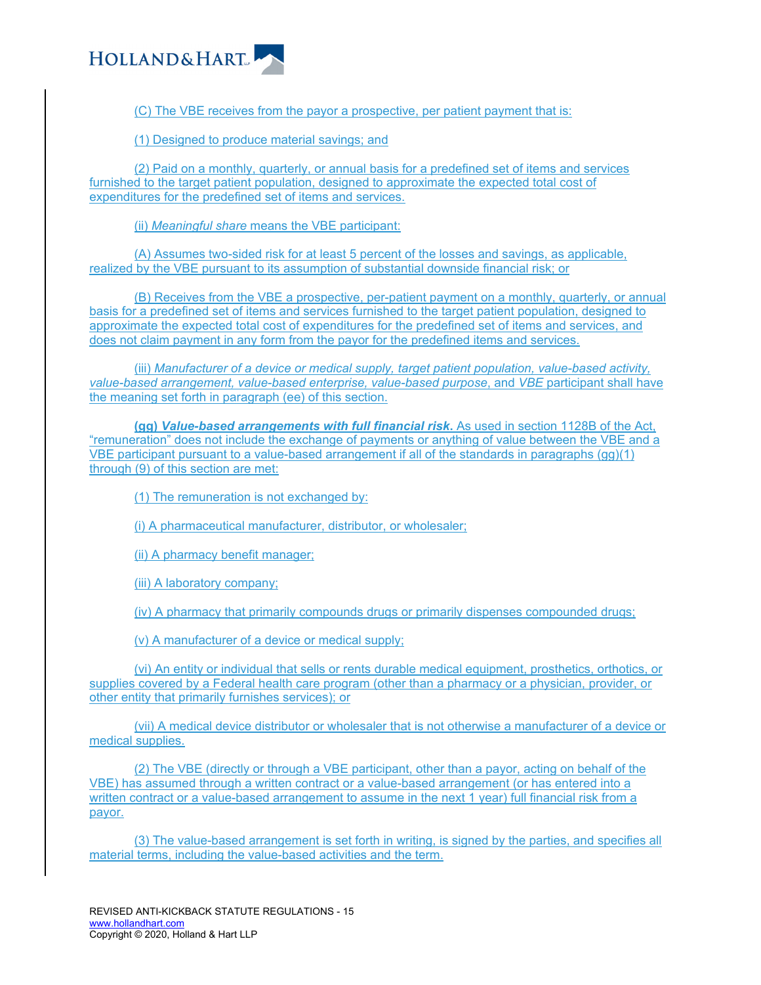

(C) The VBE receives from the payor a prospective, per patient payment that is:

(1) Designed to produce material savings; and

(2) Paid on a monthly, quarterly, or annual basis for a predefined set of items and services furnished to the target patient population, designed to approximate the expected total cost of expenditures for the predefined set of items and services.

(ii) *Meaningful share* means the VBE participant:

(A) Assumes two-sided risk for at least 5 percent of the losses and savings, as applicable, realized by the VBE pursuant to its assumption of substantial downside financial risk; or

(B) Receives from the VBE a prospective, per-patient payment on a monthly, quarterly, or annual basis for a predefined set of items and services furnished to the target patient population, designed to approximate the expected total cost of expenditures for the predefined set of items and services, and does not claim payment in any form from the payor for the predefined items and services.

(iii) *Manufacturer of a device or medical supply, target patient population, value-based activity, value-based arrangement, value-based enterprise, value-based purpose*, and *VBE* participant shall have the meaning set forth in paragraph (ee) of this section.

**(gg)** *Value-based arrangements with full financial risk***.** As used in section 1128B of the Act, "remuneration" does not include the exchange of payments or anything of value between the VBE and a VBE participant pursuant to a value-based arrangement if all of the standards in paragraphs (gg)(1) through (9) of this section are met:

(1) The remuneration is not exchanged by:

(i) A pharmaceutical manufacturer, distributor, or wholesaler;

(ii) A pharmacy benefit manager;

(iii) A laboratory company;

(iv) A pharmacy that primarily compounds drugs or primarily dispenses compounded drugs;

(v) A manufacturer of a device or medical supply;

(vi) An entity or individual that sells or rents durable medical equipment, prosthetics, orthotics, or supplies covered by a Federal health care program (other than a pharmacy or a physician, provider, or other entity that primarily furnishes services); or

(vii) A medical device distributor or wholesaler that is not otherwise a manufacturer of a device or medical supplies.

(2) The VBE (directly or through a VBE participant, other than a payor, acting on behalf of the VBE) has assumed through a written contract or a value-based arrangement (or has entered into a written contract or a value-based arrangement to assume in the next 1 year) full financial risk from a payor.

(3) The value-based arrangement is set forth in writing, is signed by the parties, and specifies all material terms, including the value-based activities and the term.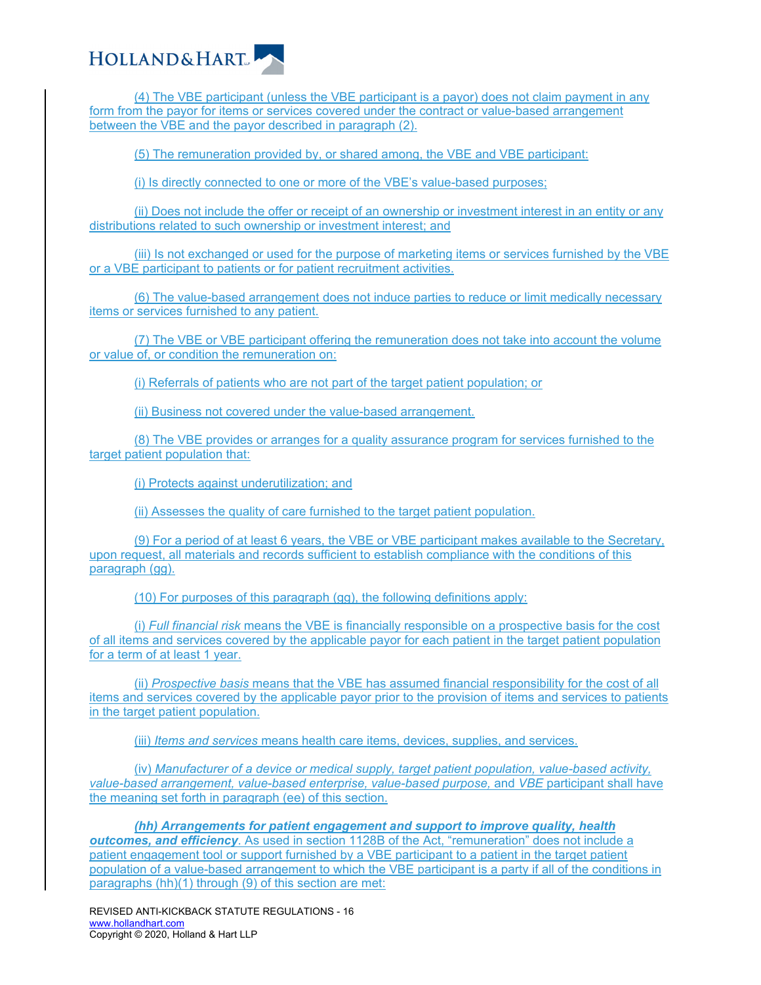

(4) The VBE participant (unless the VBE participant is a payor) does not claim payment in any form from the payor for items or services covered under the contract or value-based arrangement between the VBE and the payor described in paragraph (2).

(5) The remuneration provided by, or shared among, the VBE and VBE participant:

(i) Is directly connected to one or more of the VBE's value-based purposes;

(ii) Does not include the offer or receipt of an ownership or investment interest in an entity or any distributions related to such ownership or investment interest; and

(iii) Is not exchanged or used for the purpose of marketing items or services furnished by the VBE or a VBE participant to patients or for patient recruitment activities.

(6) The value-based arrangement does not induce parties to reduce or limit medically necessary items or services furnished to any patient.

(7) The VBE or VBE participant offering the remuneration does not take into account the volume or value of, or condition the remuneration on:

(i) Referrals of patients who are not part of the target patient population; or

(ii) Business not covered under the value-based arrangement.

(8) The VBE provides or arranges for a quality assurance program for services furnished to the target patient population that:

(i) Protects against underutilization; and

(ii) Assesses the quality of care furnished to the target patient population.

(9) For a period of at least 6 years, the VBE or VBE participant makes available to the Secretary, upon request, all materials and records sufficient to establish compliance with the conditions of this paragraph (gg).

(10) For purposes of this paragraph (gg), the following definitions apply:

(i) *Full financial risk* means the VBE is financially responsible on a prospective basis for the cost of all items and services covered by the applicable payor for each patient in the target patient population for a term of at least 1 year.

(ii) *Prospective basis* means that the VBE has assumed financial responsibility for the cost of all items and services covered by the applicable payor prior to the provision of items and services to patients in the target patient population.

(iii) *Items and services* means health care items, devices, supplies, and services.

(iv) *Manufacturer of a device or medical supply, target patient population, value-based activity, value-based arrangement, value-based enterprise, value-based purpose,* and *VBE* participant shall have the meaning set forth in paragraph (ee) of this section.

*(hh) Arrangements for patient engagement and support to improve quality, health outcomes, and efficiency*. As used in section 1128B of the Act, "remuneration" does not include a patient engagement tool or support furnished by a VBE participant to a patient in the target patient population of a value-based arrangement to which the VBE participant is a party if all of the conditions in paragraphs (hh)(1) through (9) of this section are met: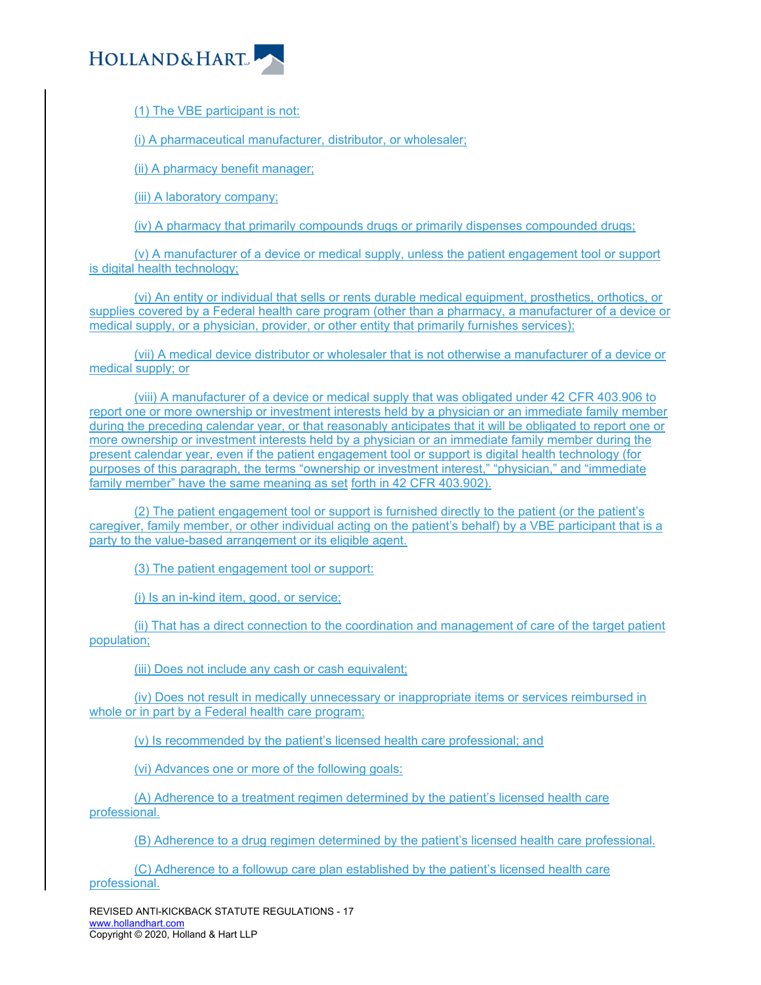

(1) The VBE participant is not:

(i) A pharmaceutical manufacturer, distributor, or wholesaler;

(ii) A pharmacy benefit manager;

(iii) A laboratory company;

(iv) A pharmacy that primarily compounds drugs or primarily dispenses compounded drugs;

(v) A manufacturer of a device or medical supply, unless the patient engagement tool or support is digital health technology;

(vi) An entity or individual that sells or rents durable medical equipment, prosthetics, orthotics, or supplies covered by a Federal health care program (other than a pharmacy, a manufacturer of a device or medical supply, or a physician, provider, or other entity that primarily furnishes services);

(vii) A medical device distributor or wholesaler that is not otherwise a manufacturer of a device or medical supply; or

(viii) A manufacturer of a device or medical supply that was obligated under 42 CFR 403.906 to report one or more ownership or investment interests held by a physician or an immediate family member during the preceding calendar year, or that reasonably anticipates that it will be obligated to report one or more ownership or investment interests held by a physician or an immediate family member during the present calendar year, even if the patient engagement tool or support is digital health technology (for purposes of this paragraph, the terms "ownership or investment interest," "physician," and "immediate family member" have the same meaning as set forth in 42 CFR 403.902).

(2) The patient engagement tool or support is furnished directly to the patient (or the patient's caregiver, family member, or other individual acting on the patient's behalf) by a VBE participant that is a party to the value-based arrangement or its eligible agent.

(3) The patient engagement tool or support:

(i) Is an in-kind item, good, or service;

(ii) That has a direct connection to the coordination and management of care of the target patient population;

(iii) Does not include any cash or cash equivalent;

(iv) Does not result in medically unnecessary or inappropriate items or services reimbursed in whole or in part by a Federal health care program;

(v) Is recommended by the patient's licensed health care professional; and

(vi) Advances one or more of the following goals:

(A) Adherence to a treatment regimen determined by the patient's licensed health care professional.

(B) Adherence to a drug regimen determined by the patient's licensed health care professional.

(C) Adherence to a followup care plan established by the patient's licensed health care professional.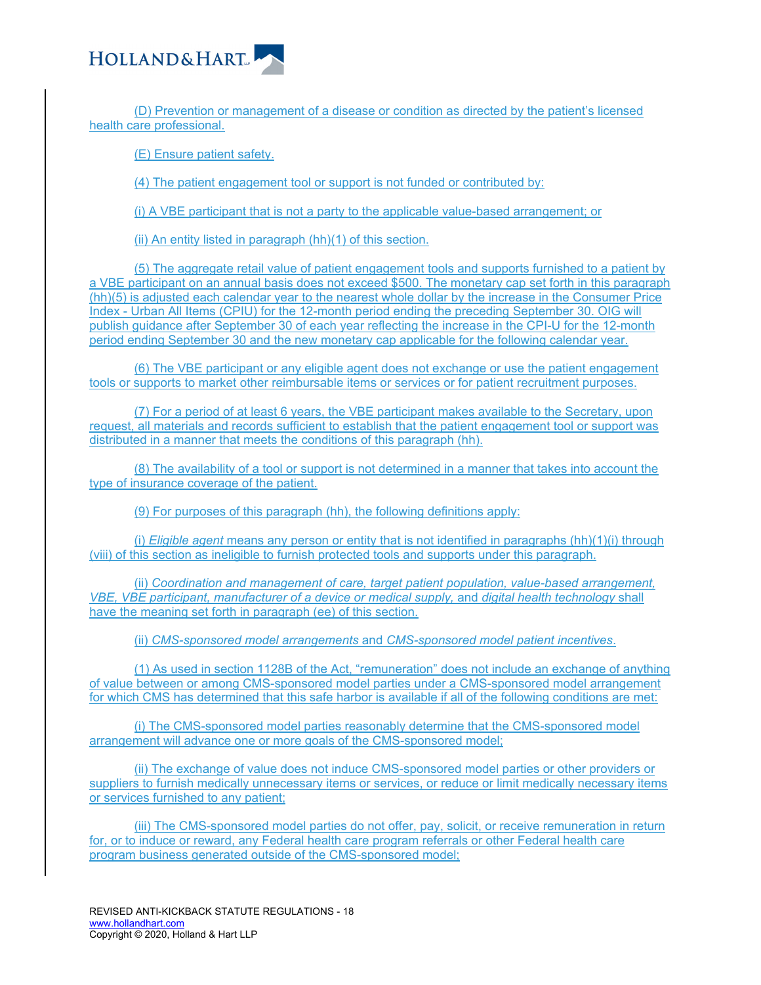

(D) Prevention or management of a disease or condition as directed by the patient's licensed health care professional.

(E) Ensure patient safety.

(4) The patient engagement tool or support is not funded or contributed by:

(i) A VBE participant that is not a party to the applicable value-based arrangement; or

(ii) An entity listed in paragraph (hh)(1) of this section.

(5) The aggregate retail value of patient engagement tools and supports furnished to a patient by a VBE participant on an annual basis does not exceed \$500. The monetary cap set forth in this paragraph (hh)(5) is adjusted each calendar year to the nearest whole dollar by the increase in the Consumer Price Index - Urban All Items (CPIU) for the 12-month period ending the preceding September 30. OIG will publish guidance after September 30 of each year reflecting the increase in the CPI-U for the 12-month period ending September 30 and the new monetary cap applicable for the following calendar year.

(6) The VBE participant or any eligible agent does not exchange or use the patient engagement tools or supports to market other reimbursable items or services or for patient recruitment purposes.

(7) For a period of at least 6 years, the VBE participant makes available to the Secretary, upon request, all materials and records sufficient to establish that the patient engagement tool or support was distributed in a manner that meets the conditions of this paragraph (hh).

(8) The availability of a tool or support is not determined in a manner that takes into account the type of insurance coverage of the patient.

(9) For purposes of this paragraph (hh), the following definitions apply:

(i) *Eligible agent* means any person or entity that is not identified in paragraphs (hh)(1)(i) through (viii) of this section as ineligible to furnish protected tools and supports under this paragraph.

(ii) *Coordination and management of care, target patient population, value-based arrangement, VBE, VBE participant, manufacturer of a device or medical supply,* and *digital health technology* shall have the meaning set forth in paragraph (ee) of this section.

(ii) *CMS-sponsored model arrangements* and *CMS-sponsored model patient incentives*.

(1) As used in section 1128B of the Act, "remuneration" does not include an exchange of anything of value between or among CMS-sponsored model parties under a CMS-sponsored model arrangement for which CMS has determined that this safe harbor is available if all of the following conditions are met:

(i) The CMS-sponsored model parties reasonably determine that the CMS-sponsored model arrangement will advance one or more goals of the CMS-sponsored model;

(ii) The exchange of value does not induce CMS-sponsored model parties or other providers or suppliers to furnish medically unnecessary items or services, or reduce or limit medically necessary items or services furnished to any patient;

(iii) The CMS-sponsored model parties do not offer, pay, solicit, or receive remuneration in return for, or to induce or reward, any Federal health care program referrals or other Federal health care program business generated outside of the CMS-sponsored model;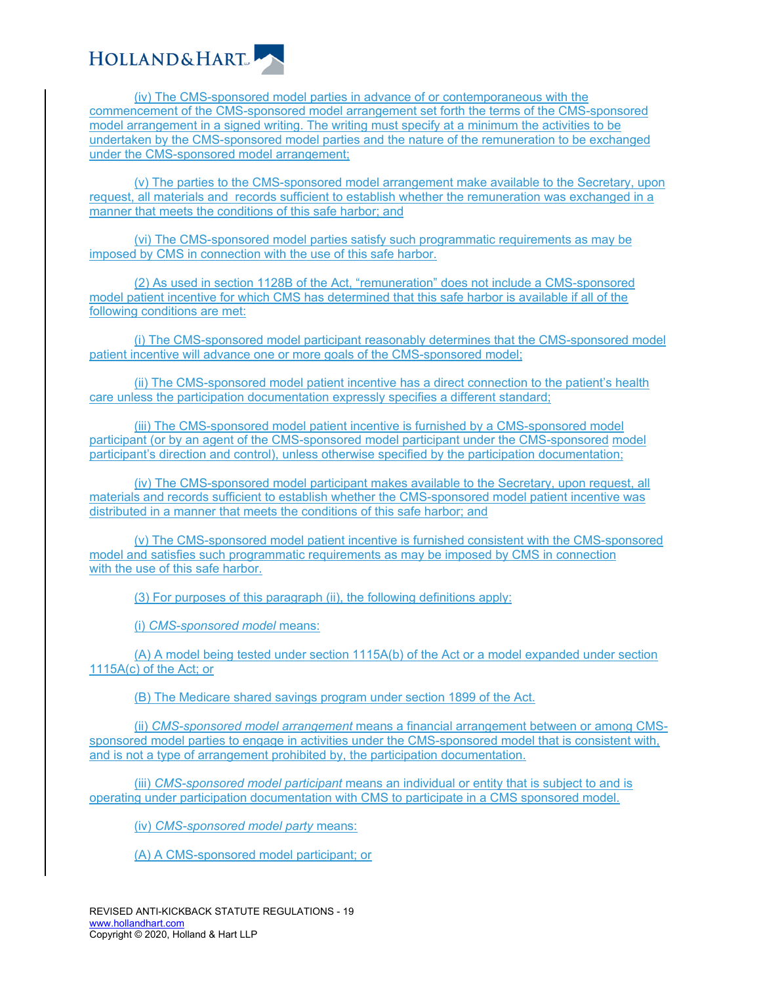

(iv) The CMS-sponsored model parties in advance of or contemporaneous with the commencement of the CMS-sponsored model arrangement set forth the terms of the CMS-sponsored model arrangement in a signed writing. The writing must specify at a minimum the activities to be undertaken by the CMS-sponsored model parties and the nature of the remuneration to be exchanged under the CMS-sponsored model arrangement;

(v) The parties to the CMS-sponsored model arrangement make available to the Secretary, upon request, all materials and records sufficient to establish whether the remuneration was exchanged in a manner that meets the conditions of this safe harbor; and

(vi) The CMS-sponsored model parties satisfy such programmatic requirements as may be imposed by CMS in connection with the use of this safe harbor.

(2) As used in section 1128B of the Act, "remuneration" does not include a CMS-sponsored model patient incentive for which CMS has determined that this safe harbor is available if all of the following conditions are met:

(i) The CMS-sponsored model participant reasonably determines that the CMS-sponsored model patient incentive will advance one or more goals of the CMS-sponsored model;

(ii) The CMS-sponsored model patient incentive has a direct connection to the patient's health care unless the participation documentation expressly specifies a different standard;

(iii) The CMS-sponsored model patient incentive is furnished by a CMS-sponsored model participant (or by an agent of the CMS-sponsored model participant under the CMS-sponsored model participant's direction and control), unless otherwise specified by the participation documentation;

(iv) The CMS-sponsored model participant makes available to the Secretary, upon request, all materials and records sufficient to establish whether the CMS-sponsored model patient incentive was distributed in a manner that meets the conditions of this safe harbor; and

(v) The CMS-sponsored model patient incentive is furnished consistent with the CMS-sponsored model and satisfies such programmatic requirements as may be imposed by CMS in connection with the use of this safe harbor.

(3) For purposes of this paragraph (ii), the following definitions apply:

(i) *CMS-sponsored model* means:

(A) A model being tested under section 1115A(b) of the Act or a model expanded under section 1115A(c) of the Act; or

(B) The Medicare shared savings program under section 1899 of the Act.

(ii) *CMS-sponsored model arrangement* means a financial arrangement between or among CMSsponsored model parties to engage in activities under the CMS-sponsored model that is consistent with, and is not a type of arrangement prohibited by, the participation documentation.

(iii) *CMS-sponsored model participant* means an individual or entity that is subject to and is operating under participation documentation with CMS to participate in a CMS sponsored model.

(iv) *CMS-sponsored model party* means:

(A) A CMS-sponsored model participant; or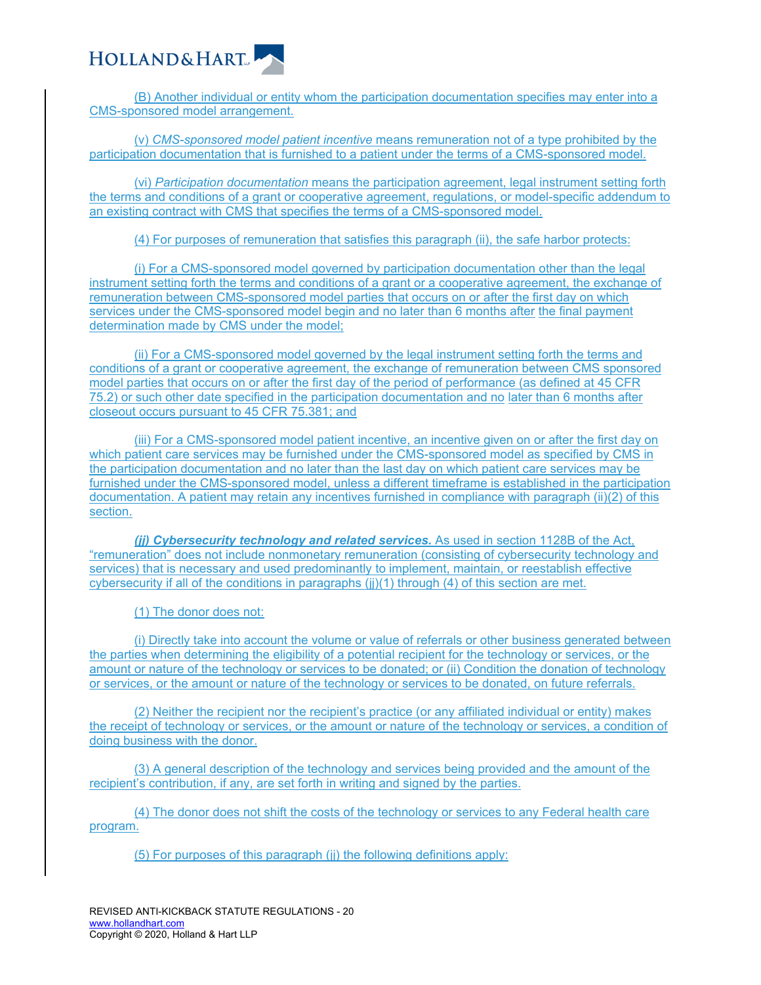

(B) Another individual or entity whom the participation documentation specifies may enter into a CMS-sponsored model arrangement.

(v) *CMS-sponsored model patient incentive* means remuneration not of a type prohibited by the participation documentation that is furnished to a patient under the terms of a CMS-sponsored model.

(vi) *Participation documentation* means the participation agreement, legal instrument setting forth the terms and conditions of a grant or cooperative agreement, regulations, or model-specific addendum to an existing contract with CMS that specifies the terms of a CMS-sponsored model.

(4) For purposes of remuneration that satisfies this paragraph (ii), the safe harbor protects:

(i) For a CMS-sponsored model governed by participation documentation other than the legal instrument setting forth the terms and conditions of a grant or a cooperative agreement, the exchange of remuneration between CMS-sponsored model parties that occurs on or after the first day on which services under the CMS-sponsored model begin and no later than 6 months after the final payment determination made by CMS under the model;

(ii) For a CMS-sponsored model governed by the legal instrument setting forth the terms and conditions of a grant or cooperative agreement, the exchange of remuneration between CMS sponsored model parties that occurs on or after the first day of the period of performance (as defined at 45 CFR 75.2) or such other date specified in the participation documentation and no later than 6 months after closeout occurs pursuant to 45 CFR 75.381; and

(iii) For a CMS-sponsored model patient incentive, an incentive given on or after the first day on which patient care services may be furnished under the CMS-sponsored model as specified by CMS in the participation documentation and no later than the last day on which patient care services may be furnished under the CMS-sponsored model, unless a different timeframe is established in the participation documentation. A patient may retain any incentives furnished in compliance with paragraph (ii)(2) of this section.

*(jj) Cybersecurity technology and related services.* As used in section 1128B of the Act, "remuneration" does not include nonmonetary remuneration (consisting of cybersecurity technology and services) that is necessary and used predominantly to implement, maintain, or reestablish effective cybersecurity if all of the conditions in paragraphs (jj)(1) through (4) of this section are met.

(1) The donor does not:

(i) Directly take into account the volume or value of referrals or other business generated between the parties when determining the eligibility of a potential recipient for the technology or services, or the amount or nature of the technology or services to be donated; or (ii) Condition the donation of technology or services, or the amount or nature of the technology or services to be donated, on future referrals.

(2) Neither the recipient nor the recipient's practice (or any affiliated individual or entity) makes the receipt of technology or services, or the amount or nature of the technology or services, a condition of doing business with the donor.

(3) A general description of the technology and services being provided and the amount of the recipient's contribution, if any, are set forth in writing and signed by the parties.

(4) The donor does not shift the costs of the technology or services to any Federal health care program.

(5) For purposes of this paragraph (jj) the following definitions apply: